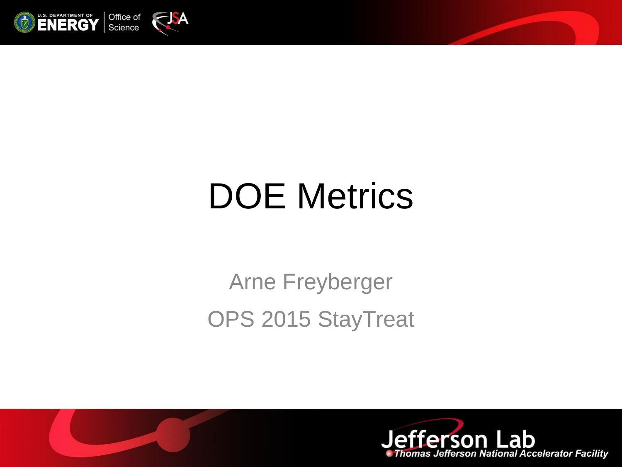

#### DOE Metrics

#### Arne Freyberger OPS 2015 StayTreat



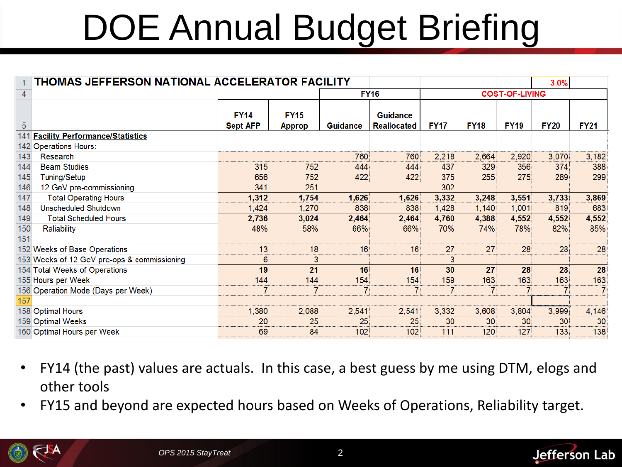# DOE Annual Budget Briefing

| <b>THOMAS JEFFERSON NATIONAL ACCELERATOR FACILITY</b><br>3.0% |                                                                                                                                                                                                                                                                                    |                                             |                 |                                       |             |                |             |             |                                |
|---------------------------------------------------------------|------------------------------------------------------------------------------------------------------------------------------------------------------------------------------------------------------------------------------------------------------------------------------------|---------------------------------------------|-----------------|---------------------------------------|-------------|----------------|-------------|-------------|--------------------------------|
|                                                               |                                                                                                                                                                                                                                                                                    |                                             | <b>FY16</b>     |                                       |             |                |             |             |                                |
|                                                               | <b>FY14</b><br><b>Sept AFP</b>                                                                                                                                                                                                                                                     | <b>FY15</b><br><b>Approp</b>                | <b>Guidance</b> | <b>Guidance</b><br><b>Reallocated</b> | <b>FY17</b> | <b>FY18</b>    | <b>FY19</b> | <b>FY20</b> | <b>FY21</b>                    |
| <b>Facility Performance/Statistics</b><br>141                 |                                                                                                                                                                                                                                                                                    |                                             |                 |                                       |             |                |             |             |                                |
|                                                               |                                                                                                                                                                                                                                                                                    |                                             |                 |                                       |             |                |             |             |                                |
| <b>Research</b>                                               |                                                                                                                                                                                                                                                                                    |                                             |                 | 760                                   | 2,218       | 2,664          | 2,920       |             | 3,182                          |
| <b>Beam Studies</b>                                           | 315                                                                                                                                                                                                                                                                                | 752                                         | 444             | 444                                   | 437         | 329            | 356         | 374         | 388                            |
| Tuning/Setup                                                  | 656                                                                                                                                                                                                                                                                                | 752                                         | 422             | 422                                   | 375         | 255            | 275         | 289         | 299                            |
| 12 GeV pre-commissioning                                      | 341                                                                                                                                                                                                                                                                                | 251                                         |                 |                                       | 302         |                |             |             |                                |
| <b>Total Operating Hours</b>                                  | 1,312                                                                                                                                                                                                                                                                              | 1,754                                       | 1,626           | 1,626                                 | 3,332       | 3,248          | 3,551       | 3,733       | 3,869                          |
| <b>Unscheduled Shutdown</b>                                   | 1,424                                                                                                                                                                                                                                                                              | 1,270                                       | 838             | 838                                   | 1,428       | 1,140          | 1,001       | 819         | 683                            |
| <b>Total Scheduled Hours</b>                                  | 2,736                                                                                                                                                                                                                                                                              | 3,024                                       | 2,464           | 2,464                                 | 4,760       | 4,388          | 4,552       | 4,552       | 4,552                          |
| <b>Reliability</b>                                            | 48%                                                                                                                                                                                                                                                                                | 58%                                         | 66%             | 66%                                   | 70%         | 74%            | 78%         | 82%         | 85%                            |
|                                                               |                                                                                                                                                                                                                                                                                    |                                             |                 |                                       |             |                |             |             |                                |
|                                                               | 13                                                                                                                                                                                                                                                                                 | 18                                          | 16              | 16                                    | 27          | 27             | 28          | 28          | 28                             |
|                                                               | 6                                                                                                                                                                                                                                                                                  | 3                                           |                 |                                       | 3           |                |             |             |                                |
|                                                               | 19                                                                                                                                                                                                                                                                                 | 21                                          | 16              | 16                                    | 30          | 27             | 28          | 28          | 28                             |
|                                                               | 144                                                                                                                                                                                                                                                                                | 144                                         | 154             | 154                                   | 159         | 163            | 163         | 163         | 163                            |
|                                                               | 7                                                                                                                                                                                                                                                                                  | $\overline{7}$                              | $\overline{7}$  | $\overline{7}$                        | 7           | $\overline{7}$ |             |             | $\overline{7}$                 |
|                                                               |                                                                                                                                                                                                                                                                                    |                                             |                 |                                       |             |                |             |             |                                |
|                                                               | 1,380                                                                                                                                                                                                                                                                              | 2,088                                       | 2,541           | 2,541                                 | 3,332       | 3,608          | 3,804       | 3,999       | 4,146                          |
|                                                               | 20                                                                                                                                                                                                                                                                                 | 25                                          | 25              | 25                                    | 30          | 30             | 30          | 30          | 30                             |
|                                                               | 69                                                                                                                                                                                                                                                                                 | 84                                          | 102             | 102                                   | 111         | 120            | 127         | 133         | 138                            |
|                                                               | 142 Operations Hours:<br>143<br>144<br>145<br>146<br>147<br>148<br>149<br>150<br>152 Weeks of Base Operations<br>154 Total Weeks of Operations<br>155 Hours per Week<br>156 Operation Mode (Days per Week)<br>158 Optimal Hours<br>159 Optimal Weeks<br>160 Optimal Hours per Week | 153 Weeks of 12 GeV pre-ops & commissioning |                 | 760                                   |             |                |             |             | <b>COST-OF-LIVING</b><br>3,070 |

- FY14 (the past) values are actuals. In this case, a best guess by me using DTM, elogs and other tools
- FY15 and beyond are expected hours based on Weeks of Operations, Reliability target.



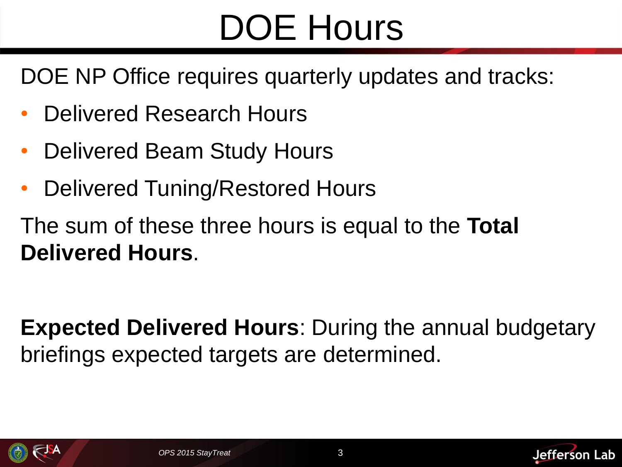#### DOE Hours

DOE NP Office requires quarterly updates and tracks:

- Delivered Research Hours
- Delivered Beam Study Hours
- Delivered Tuning/Restored Hours

The sum of these three hours is equal to the **Total Delivered Hours**.

**Expected Delivered Hours**: During the annual budgetary briefings expected targets are determined.





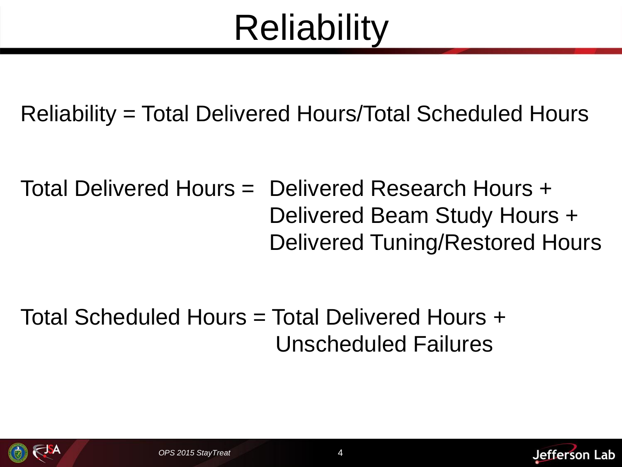## **Reliability**

Reliability = Total Delivered Hours/Total Scheduled Hours

Total Delivered Hours = Delivered Research Hours + Delivered Beam Study Hours + Delivered Tuning/Restored Hours

Total Scheduled Hours = Total Delivered Hours + Unscheduled Failures





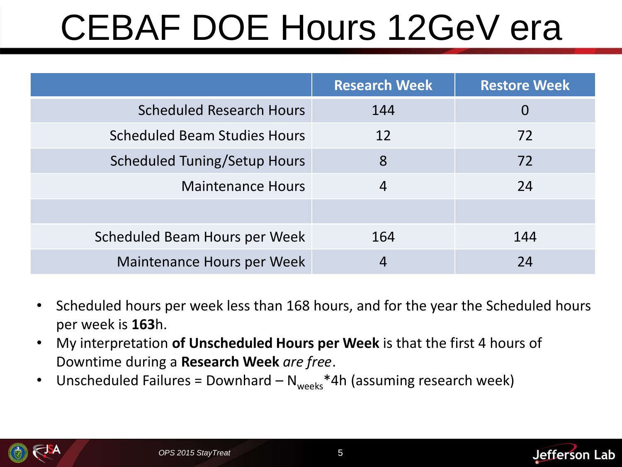# CEBAF DOE Hours 12GeV era

|                                     | <b>Research Week</b> | <b>Restore Week</b> |  |
|-------------------------------------|----------------------|---------------------|--|
| <b>Scheduled Research Hours</b>     | 144                  |                     |  |
| <b>Scheduled Beam Studies Hours</b> | 12                   | 72                  |  |
| Scheduled Tuning/Setup Hours        | 8                    | 72                  |  |
| <b>Maintenance Hours</b>            | $\overline{4}$       | 24                  |  |
|                                     |                      |                     |  |
| Scheduled Beam Hours per Week       | 164                  | 144                 |  |
| Maintenance Hours per Week          |                      | 24                  |  |

- Scheduled hours per week less than 168 hours, and for the year the Scheduled hours per week is **163**h.
- My interpretation **of Unscheduled Hours per Week** is that the first 4 hours of Downtime during a **Research Week** *are free*.
- Unscheduled Failures = Downhard  $-N_{\text{weeks}}$ \*4h (assuming research week)



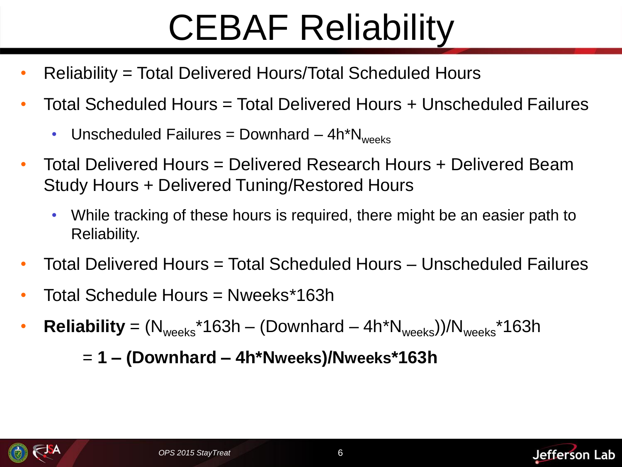## CEBAF Reliability

- Reliability = Total Delivered Hours/Total Scheduled Hours
- Total Scheduled Hours = Total Delivered Hours + Unscheduled Failures
	- Unscheduled Failures = Downhard  $-4h^*N_{weak}$
- Total Delivered Hours = Delivered Research Hours + Delivered Beam Study Hours + Delivered Tuning/Restored Hours
	- While tracking of these hours is required, there might be an easier path to Reliability.
- Total Delivered Hours = Total Scheduled Hours Unscheduled Failures
- Total Schedule Hours = Nweeks\*163h
- **Reliability** =  $(N_{\text{weeks}}^*163h (Downhard 4h^*N_{\text{weeks}}))/N_{\text{weeks}}^*163h$

= **1 – (Downhard – 4h\*Nweeks)/Nweeks\*163h**



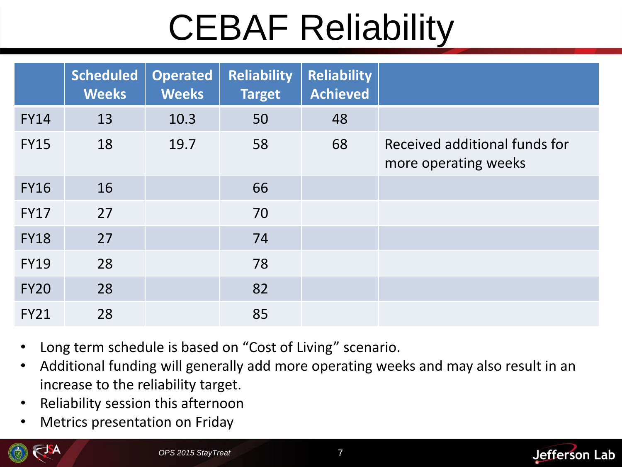# CEBAF Reliability

|             | <b>Scheduled</b><br><b>Weeks</b> | <b>Operated</b><br><b>Weeks</b> | <b>Reliability</b><br><b>Target</b> | <b>Reliability</b><br><b>Achieved</b> |                                                       |
|-------------|----------------------------------|---------------------------------|-------------------------------------|---------------------------------------|-------------------------------------------------------|
| <b>FY14</b> | 13                               | 10.3                            | 50                                  | 48                                    |                                                       |
| <b>FY15</b> | 18                               | 19.7                            | 58                                  | 68                                    | Received additional funds for<br>more operating weeks |
| <b>FY16</b> | 16                               |                                 | 66                                  |                                       |                                                       |
| <b>FY17</b> | 27                               |                                 | 70                                  |                                       |                                                       |
| <b>FY18</b> | 27                               |                                 | 74                                  |                                       |                                                       |
| <b>FY19</b> | 28                               |                                 | 78                                  |                                       |                                                       |
| <b>FY20</b> | 28                               |                                 | 82                                  |                                       |                                                       |
| <b>FY21</b> | 28                               |                                 | 85                                  |                                       |                                                       |

- Long term schedule is based on "Cost of Living" scenario.
- Additional funding will generally add more operating weeks and may also result in an increase to the reliability target.
- Reliability session this afternoon
- Metrics presentation on Friday



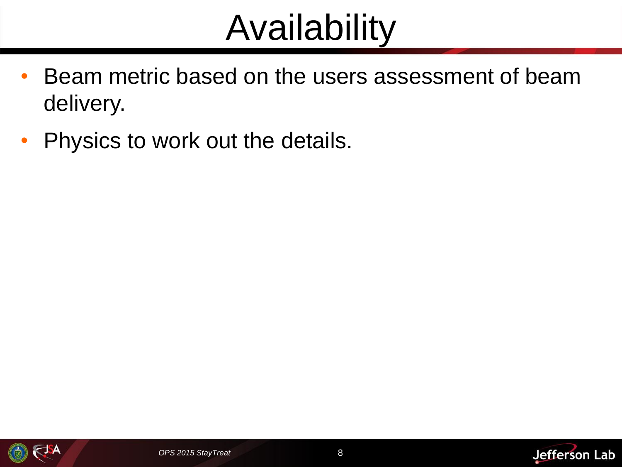#### Availability

- Beam metric based on the users assessment of beam delivery.
- Physics to work out the details.